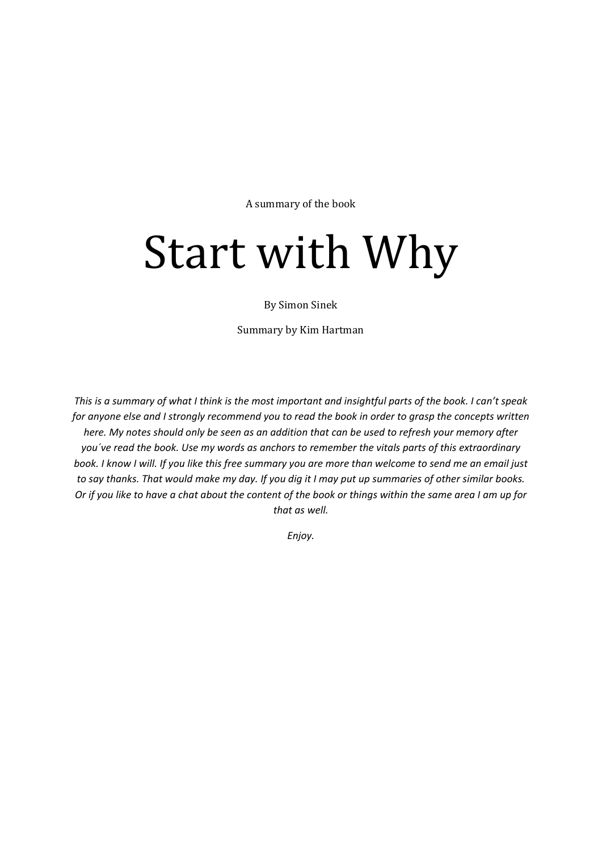A summary of the book

# Start with Why

By Simon Sinek

Summary by Kim Hartman

*This is a summary of what I think is the most important and insightful parts of the book. I can't speak for anyone else and I strongly recommend you to read the book in order to grasp the concepts written here. My notes should only be seen as an addition that can be used to refresh your memory after you´ve read the book. Use my words as anchors to remember the vitals parts of this extraordinary book. I know I will. If you like this free summary you are more than welcome to send me an email just to say thanks. That would make my day. If you dig it I may put up summaries of other similar books. Or if you like to have a chat about the content of the book or things within the same area I am up for that as well.* 

*Enjoy.*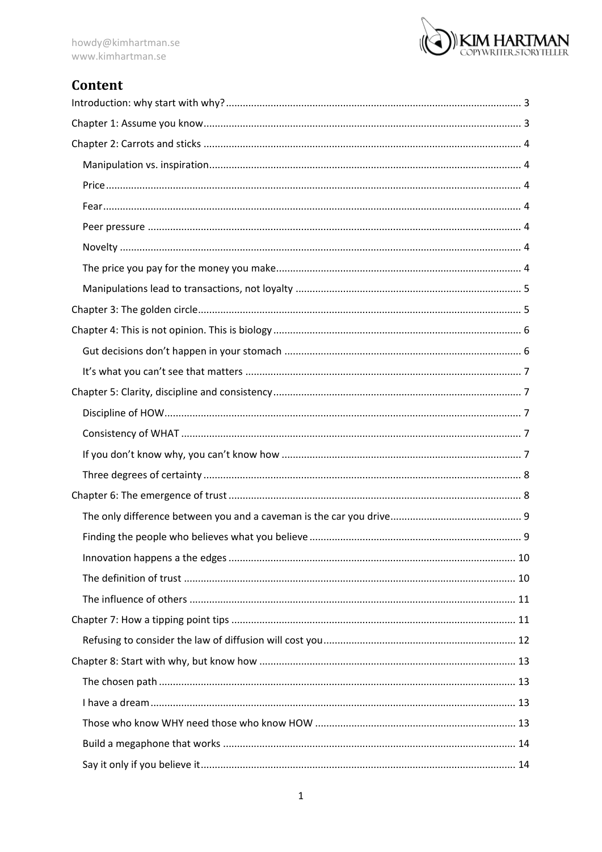

# Content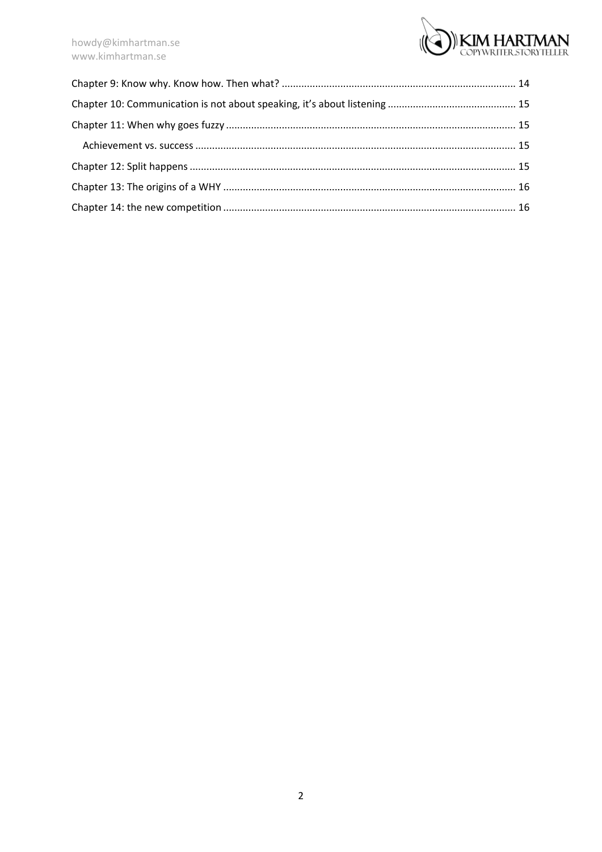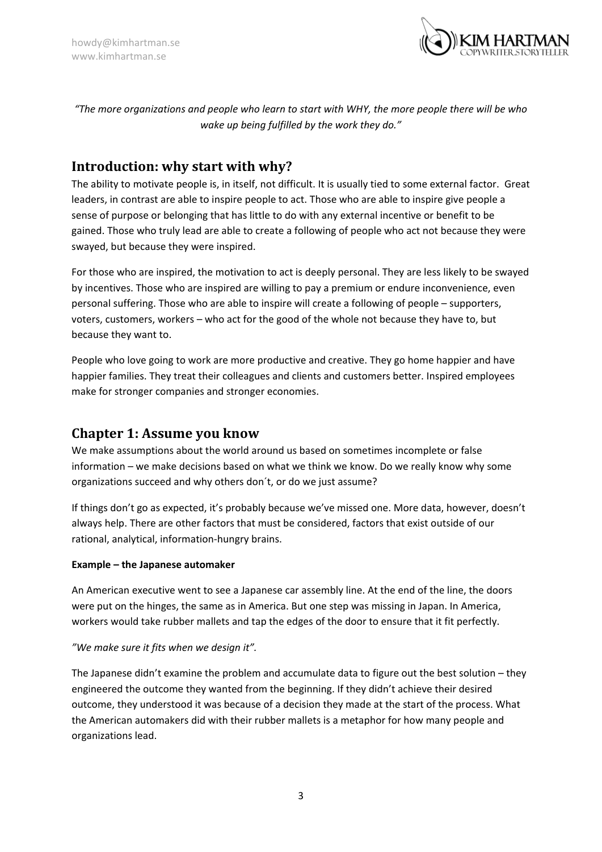

*"The more organizations and people who learn to start with WHY, the more people there will be who wake up being fulfilled by the work they do."*

## <span id="page-3-0"></span>**Introduction: why start with why?**

The ability to motivate people is, in itself, not difficult. It is usually tied to some external factor. Great leaders, in contrast are able to inspire people to act. Those who are able to inspire give people a sense of purpose or belonging that has little to do with any external incentive or benefit to be gained. Those who truly lead are able to create a following of people who act not because they were swayed, but because they were inspired.

For those who are inspired, the motivation to act is deeply personal. They are less likely to be swayed by incentives. Those who are inspired are willing to pay a premium or endure inconvenience, even personal suffering. Those who are able to inspire will create a following of people – supporters, voters, customers, workers – who act for the good of the whole not because they have to, but because they want to.

People who love going to work are more productive and creative. They go home happier and have happier families. They treat their colleagues and clients and customers better. Inspired employees make for stronger companies and stronger economies.

## <span id="page-3-1"></span>**Chapter 1: Assume you know**

We make assumptions about the world around us based on sometimes incomplete or false information – we make decisions based on what we think we know. Do we really know why some organizations succeed and why others don´t, or do we just assume?

If things don't go as expected, it's probably because we've missed one. More data, however, doesn't always help. There are other factors that must be considered, factors that exist outside of our rational, analytical, information-hungry brains.

#### **Example – the Japanese automaker**

An American executive went to see a Japanese car assembly line. At the end of the line, the doors were put on the hinges, the same as in America. But one step was missing in Japan. In America, workers would take rubber mallets and tap the edges of the door to ensure that it fit perfectly.

#### *"We make sure it fits when we design it".*

The Japanese didn't examine the problem and accumulate data to figure out the best solution – they engineered the outcome they wanted from the beginning. If they didn't achieve their desired outcome, they understood it was because of a decision they made at the start of the process. What the American automakers did with their rubber mallets is a metaphor for how many people and organizations lead.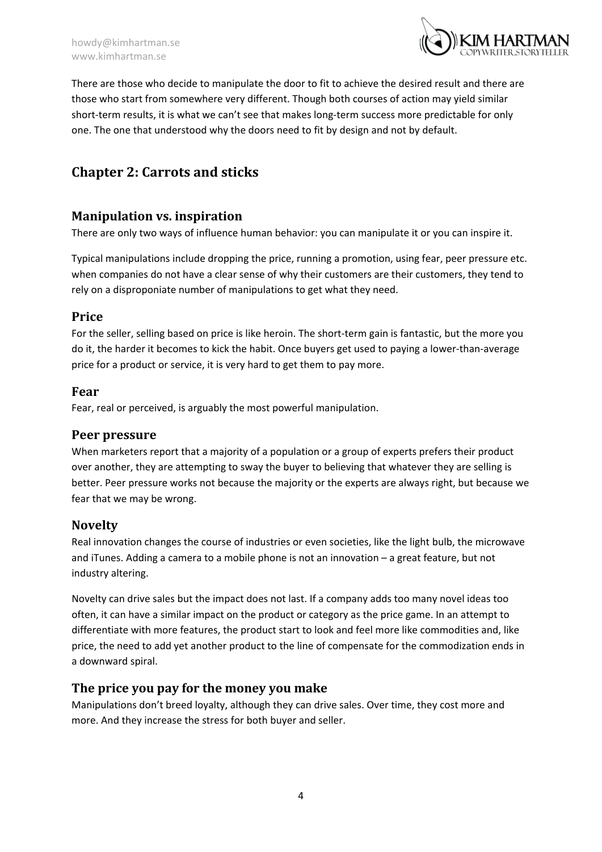

There are those who decide to manipulate the door to fit to achieve the desired result and there are those who start from somewhere very different. Though both courses of action may yield similar short-term results, it is what we can't see that makes long-term success more predictable for only one. The one that understood why the doors need to fit by design and not by default.

# <span id="page-4-0"></span>**Chapter 2: Carrots and sticks**

## <span id="page-4-1"></span>**Manipulation vs. inspiration**

There are only two ways of influence human behavior: you can manipulate it or you can inspire it.

Typical manipulations include dropping the price, running a promotion, using fear, peer pressure etc. when companies do not have a clear sense of why their customers are their customers, they tend to rely on a disproponiate number of manipulations to get what they need.

## <span id="page-4-2"></span>**Price**

For the seller, selling based on price is like heroin. The short-term gain is fantastic, but the more you do it, the harder it becomes to kick the habit. Once buyers get used to paying a lower-than-average price for a product or service, it is very hard to get them to pay more.

#### <span id="page-4-3"></span>**Fear**

Fear, real or perceived, is arguably the most powerful manipulation.

## <span id="page-4-4"></span>**Peer pressure**

When marketers report that a majority of a population or a group of experts prefers their product over another, they are attempting to sway the buyer to believing that whatever they are selling is better. Peer pressure works not because the majority or the experts are always right, but because we fear that we may be wrong.

## <span id="page-4-5"></span>**Novelty**

Real innovation changes the course of industries or even societies, like the light bulb, the microwave and iTunes. Adding a camera to a mobile phone is not an innovation – a great feature, but not industry altering.

Novelty can drive sales but the impact does not last. If a company adds too many novel ideas too often, it can have a similar impact on the product or category as the price game. In an attempt to differentiate with more features, the product start to look and feel more like commodities and, like price, the need to add yet another product to the line of compensate for the commodization ends in a downward spiral.

## <span id="page-4-6"></span>**The price you pay for the money you make**

Manipulations don't breed loyalty, although they can drive sales. Over time, they cost more and more. And they increase the stress for both buyer and seller.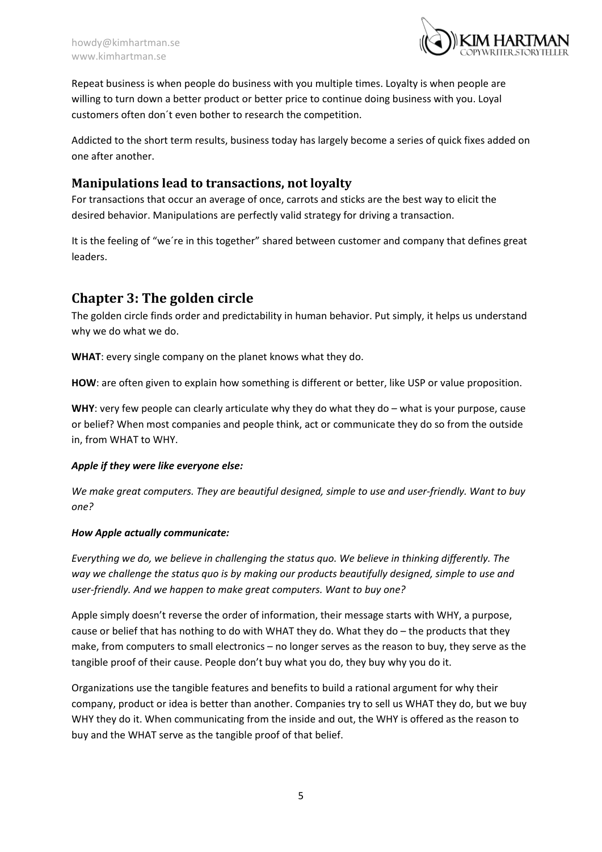

Repeat business is when people do business with you multiple times. Loyalty is when people are willing to turn down a better product or better price to continue doing business with you. Loyal customers often don´t even bother to research the competition.

Addicted to the short term results, business today has largely become a series of quick fixes added on one after another.

## <span id="page-5-0"></span>**Manipulations lead to transactions, not loyalty**

For transactions that occur an average of once, carrots and sticks are the best way to elicit the desired behavior. Manipulations are perfectly valid strategy for driving a transaction.

It is the feeling of "we´re in this together" shared between customer and company that defines great leaders.

# <span id="page-5-1"></span>**Chapter 3: The golden circle**

The golden circle finds order and predictability in human behavior. Put simply, it helps us understand why we do what we do.

**WHAT**: every single company on the planet knows what they do.

**HOW**: are often given to explain how something is different or better, like USP or value proposition.

**WHY**: very few people can clearly articulate why they do what they do – what is your purpose, cause or belief? When most companies and people think, act or communicate they do so from the outside in, from WHAT to WHY.

#### *Apple if they were like everyone else:*

*We make great computers. They are beautiful designed, simple to use and user-friendly. Want to buy one?*

#### *How Apple actually communicate:*

*Everything we do, we believe in challenging the status quo. We believe in thinking differently. The way we challenge the status quo is by making our products beautifully designed, simple to use and user-friendly. And we happen to make great computers. Want to buy one?*

Apple simply doesn't reverse the order of information, their message starts with WHY, a purpose, cause or belief that has nothing to do with WHAT they do. What they do – the products that they make, from computers to small electronics – no longer serves as the reason to buy, they serve as the tangible proof of their cause. People don't buy what you do, they buy why you do it.

Organizations use the tangible features and benefits to build a rational argument for why their company, product or idea is better than another. Companies try to sell us WHAT they do, but we buy WHY they do it. When communicating from the inside and out, the WHY is offered as the reason to buy and the WHAT serve as the tangible proof of that belief.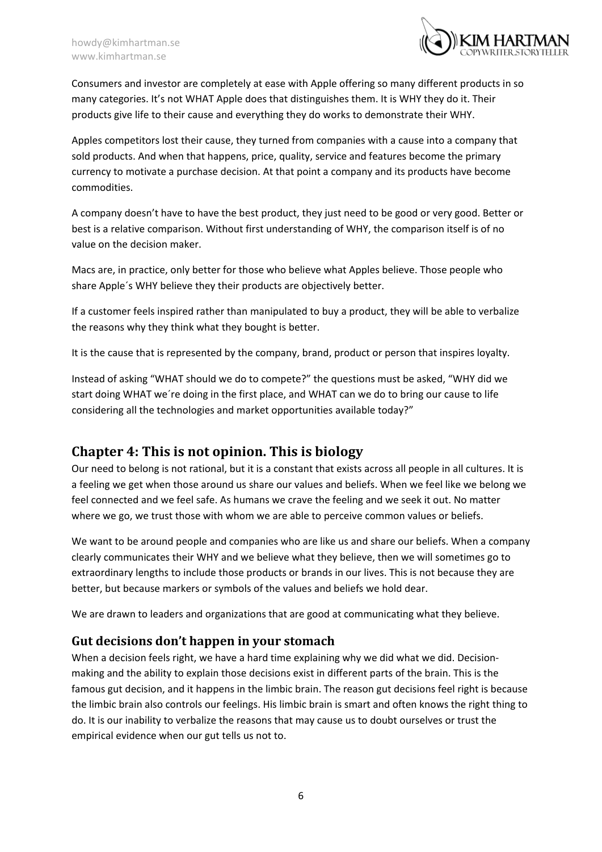

Consumers and investor are completely at ease with Apple offering so many different products in so many categories. It's not WHAT Apple does that distinguishes them. It is WHY they do it. Their products give life to their cause and everything they do works to demonstrate their WHY.

Apples competitors lost their cause, they turned from companies with a cause into a company that sold products. And when that happens, price, quality, service and features become the primary currency to motivate a purchase decision. At that point a company and its products have become commodities.

A company doesn't have to have the best product, they just need to be good or very good. Better or best is a relative comparison. Without first understanding of WHY, the comparison itself is of no value on the decision maker.

Macs are, in practice, only better for those who believe what Apples believe. Those people who share Apple´s WHY believe they their products are objectively better.

If a customer feels inspired rather than manipulated to buy a product, they will be able to verbalize the reasons why they think what they bought is better.

It is the cause that is represented by the company, brand, product or person that inspires loyalty.

Instead of asking "WHAT should we do to compete?" the questions must be asked, "WHY did we start doing WHAT we´re doing in the first place, and WHAT can we do to bring our cause to life considering all the technologies and market opportunities available today?"

# <span id="page-6-0"></span>**Chapter 4: This is not opinion. This is biology**

Our need to belong is not rational, but it is a constant that exists across all people in all cultures. It is a feeling we get when those around us share our values and beliefs. When we feel like we belong we feel connected and we feel safe. As humans we crave the feeling and we seek it out. No matter where we go, we trust those with whom we are able to perceive common values or beliefs.

We want to be around people and companies who are like us and share our beliefs. When a company clearly communicates their WHY and we believe what they believe, then we will sometimes go to extraordinary lengths to include those products or brands in our lives. This is not because they are better, but because markers or symbols of the values and beliefs we hold dear.

We are drawn to leaders and organizations that are good at communicating what they believe.

## <span id="page-6-1"></span>**Gut decisions don't happen in your stomach**

When a decision feels right, we have a hard time explaining why we did what we did. Decisionmaking and the ability to explain those decisions exist in different parts of the brain. This is the famous gut decision, and it happens in the limbic brain. The reason gut decisions feel right is because the limbic brain also controls our feelings. His limbic brain is smart and often knows the right thing to do. It is our inability to verbalize the reasons that may cause us to doubt ourselves or trust the empirical evidence when our gut tells us not to.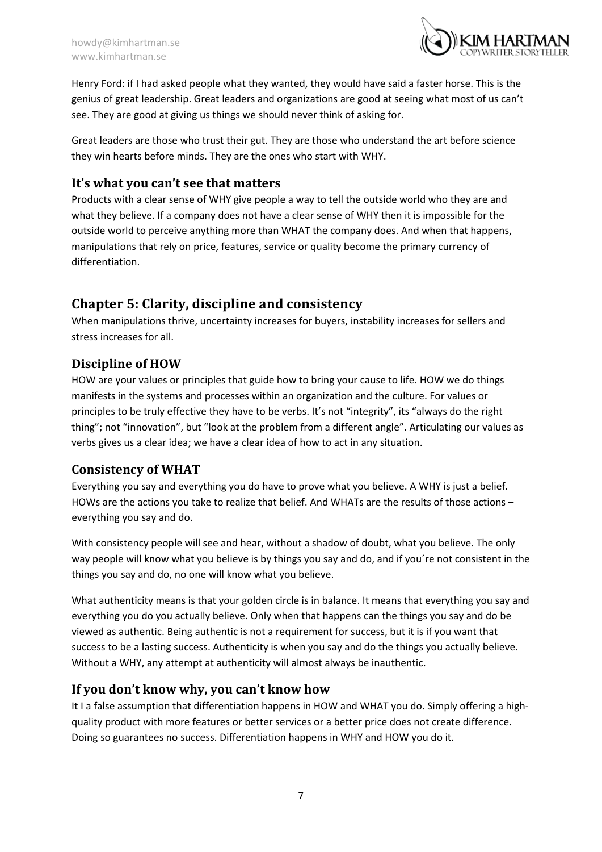

Henry Ford: if I had asked people what they wanted, they would have said a faster horse. This is the genius of great leadership. Great leaders and organizations are good at seeing what most of us can't see. They are good at giving us things we should never think of asking for.

Great leaders are those who trust their gut. They are those who understand the art before science they win hearts before minds. They are the ones who start with WHY.

## <span id="page-7-0"></span>**It's what you can't see that matters**

Products with a clear sense of WHY give people a way to tell the outside world who they are and what they believe. If a company does not have a clear sense of WHY then it is impossible for the outside world to perceive anything more than WHAT the company does. And when that happens, manipulations that rely on price, features, service or quality become the primary currency of differentiation.

# <span id="page-7-1"></span>**Chapter 5: Clarity, discipline and consistency**

When manipulations thrive, uncertainty increases for buyers, instability increases for sellers and stress increases for all.

# <span id="page-7-2"></span>**Discipline of HOW**

HOW are your values or principles that guide how to bring your cause to life. HOW we do things manifests in the systems and processes within an organization and the culture. For values or principles to be truly effective they have to be verbs. It's not "integrity", its "always do the right thing"; not "innovation", but "look at the problem from a different angle". Articulating our values as verbs gives us a clear idea; we have a clear idea of how to act in any situation.

## <span id="page-7-3"></span>**Consistency of WHAT**

Everything you say and everything you do have to prove what you believe. A WHY is just a belief. HOWs are the actions you take to realize that belief. And WHATs are the results of those actions – everything you say and do.

With consistency people will see and hear, without a shadow of doubt, what you believe. The only way people will know what you believe is by things you say and do, and if you´re not consistent in the things you say and do, no one will know what you believe.

What authenticity means is that your golden circle is in balance. It means that everything you say and everything you do you actually believe. Only when that happens can the things you say and do be viewed as authentic. Being authentic is not a requirement for success, but it is if you want that success to be a lasting success. Authenticity is when you say and do the things you actually believe. Without a WHY, any attempt at authenticity will almost always be inauthentic.

## <span id="page-7-4"></span>**If you don't know why, you can't know how**

It I a false assumption that differentiation happens in HOW and WHAT you do. Simply offering a highquality product with more features or better services or a better price does not create difference. Doing so guarantees no success. Differentiation happens in WHY and HOW you do it.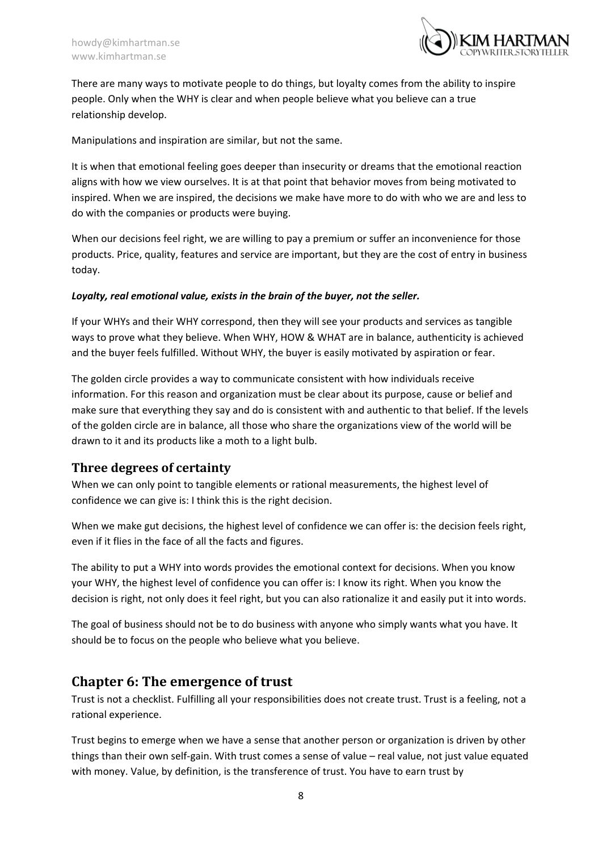

There are many ways to motivate people to do things, but loyalty comes from the ability to inspire people. Only when the WHY is clear and when people believe what you believe can a true relationship develop.

Manipulations and inspiration are similar, but not the same.

It is when that emotional feeling goes deeper than insecurity or dreams that the emotional reaction aligns with how we view ourselves. It is at that point that behavior moves from being motivated to inspired. When we are inspired, the decisions we make have more to do with who we are and less to do with the companies or products were buying.

When our decisions feel right, we are willing to pay a premium or suffer an inconvenience for those products. Price, quality, features and service are important, but they are the cost of entry in business today.

#### *Loyalty, real emotional value, exists in the brain of the buyer, not the seller.*

If your WHYs and their WHY correspond, then they will see your products and services as tangible ways to prove what they believe. When WHY, HOW & WHAT are in balance, authenticity is achieved and the buyer feels fulfilled. Without WHY, the buyer is easily motivated by aspiration or fear.

The golden circle provides a way to communicate consistent with how individuals receive information. For this reason and organization must be clear about its purpose, cause or belief and make sure that everything they say and do is consistent with and authentic to that belief. If the levels of the golden circle are in balance, all those who share the organizations view of the world will be drawn to it and its products like a moth to a light bulb.

#### <span id="page-8-0"></span>**Three degrees of certainty**

When we can only point to tangible elements or rational measurements, the highest level of confidence we can give is: I think this is the right decision.

When we make gut decisions, the highest level of confidence we can offer is: the decision feels right, even if it flies in the face of all the facts and figures.

The ability to put a WHY into words provides the emotional context for decisions. When you know your WHY, the highest level of confidence you can offer is: I know its right. When you know the decision is right, not only does it feel right, but you can also rationalize it and easily put it into words.

The goal of business should not be to do business with anyone who simply wants what you have. It should be to focus on the people who believe what you believe.

## <span id="page-8-1"></span>**Chapter 6: The emergence of trust**

Trust is not a checklist. Fulfilling all your responsibilities does not create trust. Trust is a feeling, not a rational experience.

Trust begins to emerge when we have a sense that another person or organization is driven by other things than their own self-gain. With trust comes a sense of value – real value, not just value equated with money. Value, by definition, is the transference of trust. You have to earn trust by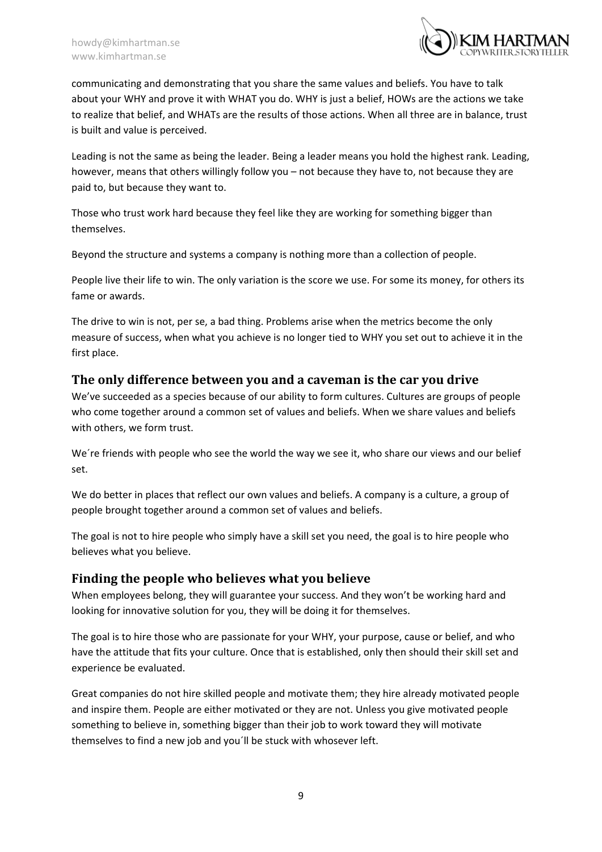

communicating and demonstrating that you share the same values and beliefs. You have to talk about your WHY and prove it with WHAT you do. WHY is just a belief, HOWs are the actions we take to realize that belief, and WHATs are the results of those actions. When all three are in balance, trust is built and value is perceived.

Leading is not the same as being the leader. Being a leader means you hold the highest rank. Leading, however, means that others willingly follow you – not because they have to, not because they are paid to, but because they want to.

Those who trust work hard because they feel like they are working for something bigger than themselves.

Beyond the structure and systems a company is nothing more than a collection of people.

People live their life to win. The only variation is the score we use. For some its money, for others its fame or awards.

The drive to win is not, per se, a bad thing. Problems arise when the metrics become the only measure of success, when what you achieve is no longer tied to WHY you set out to achieve it in the first place.

## <span id="page-9-0"></span>**The only difference between you and a caveman is the car you drive**

We've succeeded as a species because of our ability to form cultures. Cultures are groups of people who come together around a common set of values and beliefs. When we share values and beliefs with others, we form trust.

We're friends with people who see the world the way we see it, who share our views and our belief set.

We do better in places that reflect our own values and beliefs. A company is a culture, a group of people brought together around a common set of values and beliefs.

The goal is not to hire people who simply have a skill set you need, the goal is to hire people who believes what you believe.

## <span id="page-9-1"></span>**Finding the people who believes what you believe**

When employees belong, they will guarantee your success. And they won't be working hard and looking for innovative solution for you, they will be doing it for themselves.

The goal is to hire those who are passionate for your WHY, your purpose, cause or belief, and who have the attitude that fits your culture. Once that is established, only then should their skill set and experience be evaluated.

Great companies do not hire skilled people and motivate them; they hire already motivated people and inspire them. People are either motivated or they are not. Unless you give motivated people something to believe in, something bigger than their job to work toward they will motivate themselves to find a new job and you´ll be stuck with whosever left.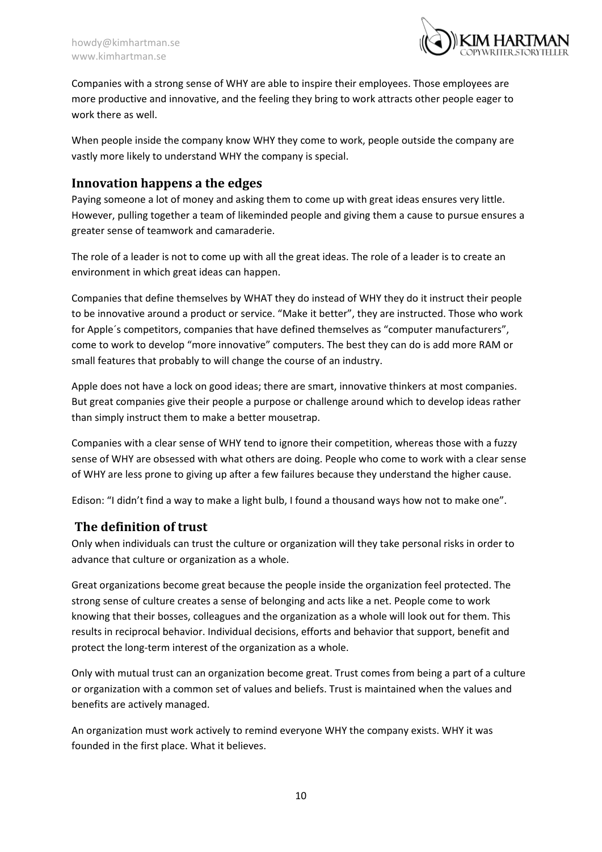

Companies with a strong sense of WHY are able to inspire their employees. Those employees are more productive and innovative, and the feeling they bring to work attracts other people eager to work there as well.

When people inside the company know WHY they come to work, people outside the company are vastly more likely to understand WHY the company is special.

## <span id="page-10-0"></span>**Innovation happens a the edges**

Paying someone a lot of money and asking them to come up with great ideas ensures very little. However, pulling together a team of likeminded people and giving them a cause to pursue ensures a greater sense of teamwork and camaraderie.

The role of a leader is not to come up with all the great ideas. The role of a leader is to create an environment in which great ideas can happen.

Companies that define themselves by WHAT they do instead of WHY they do it instruct their people to be innovative around a product or service. "Make it better", they are instructed. Those who work for Apple´s competitors, companies that have defined themselves as "computer manufacturers", come to work to develop "more innovative" computers. The best they can do is add more RAM or small features that probably to will change the course of an industry.

Apple does not have a lock on good ideas; there are smart, innovative thinkers at most companies. But great companies give their people a purpose or challenge around which to develop ideas rather than simply instruct them to make a better mousetrap.

Companies with a clear sense of WHY tend to ignore their competition, whereas those with a fuzzy sense of WHY are obsessed with what others are doing. People who come to work with a clear sense of WHY are less prone to giving up after a few failures because they understand the higher cause.

Edison: "I didn't find a way to make a light bulb, I found a thousand ways how not to make one".

## <span id="page-10-1"></span>**The definition of trust**

Only when individuals can trust the culture or organization will they take personal risks in order to advance that culture or organization as a whole.

Great organizations become great because the people inside the organization feel protected. The strong sense of culture creates a sense of belonging and acts like a net. People come to work knowing that their bosses, colleagues and the organization as a whole will look out for them. This results in reciprocal behavior. Individual decisions, efforts and behavior that support, benefit and protect the long-term interest of the organization as a whole.

Only with mutual trust can an organization become great. Trust comes from being a part of a culture or organization with a common set of values and beliefs. Trust is maintained when the values and benefits are actively managed.

An organization must work actively to remind everyone WHY the company exists. WHY it was founded in the first place. What it believes.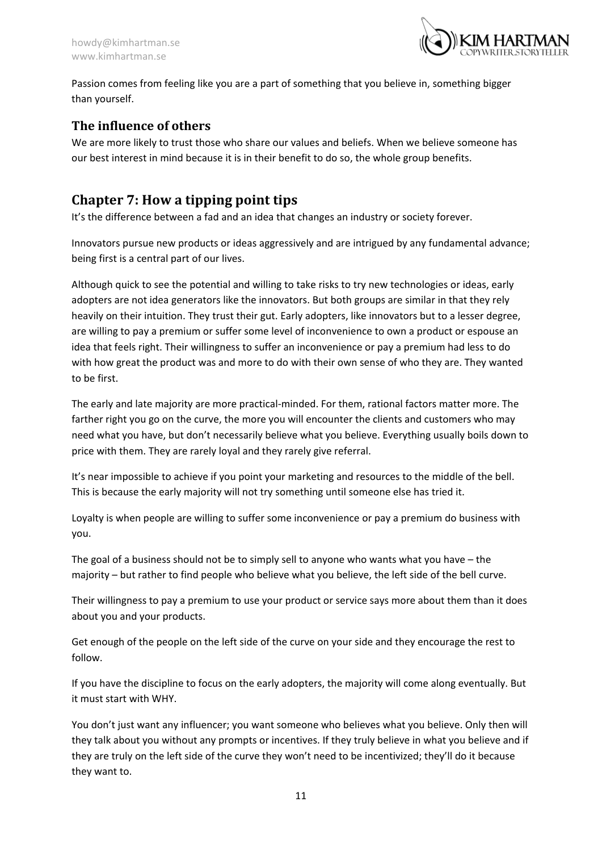

Passion comes from feeling like you are a part of something that you believe in, something bigger than yourself.

## <span id="page-11-0"></span>**The influence of others**

We are more likely to trust those who share our values and beliefs. When we believe someone has our best interest in mind because it is in their benefit to do so, the whole group benefits.

# <span id="page-11-1"></span>**Chapter 7: How a tipping point tips**

It's the difference between a fad and an idea that changes an industry or society forever.

Innovators pursue new products or ideas aggressively and are intrigued by any fundamental advance; being first is a central part of our lives.

Although quick to see the potential and willing to take risks to try new technologies or ideas, early adopters are not idea generators like the innovators. But both groups are similar in that they rely heavily on their intuition. They trust their gut. Early adopters, like innovators but to a lesser degree, are willing to pay a premium or suffer some level of inconvenience to own a product or espouse an idea that feels right. Their willingness to suffer an inconvenience or pay a premium had less to do with how great the product was and more to do with their own sense of who they are. They wanted to be first.

The early and late majority are more practical-minded. For them, rational factors matter more. The farther right you go on the curve, the more you will encounter the clients and customers who may need what you have, but don't necessarily believe what you believe. Everything usually boils down to price with them. They are rarely loyal and they rarely give referral.

It's near impossible to achieve if you point your marketing and resources to the middle of the bell. This is because the early majority will not try something until someone else has tried it.

Loyalty is when people are willing to suffer some inconvenience or pay a premium do business with you.

The goal of a business should not be to simply sell to anyone who wants what you have – the majority – but rather to find people who believe what you believe, the left side of the bell curve.

Their willingness to pay a premium to use your product or service says more about them than it does about you and your products.

Get enough of the people on the left side of the curve on your side and they encourage the rest to follow.

If you have the discipline to focus on the early adopters, the majority will come along eventually. But it must start with WHY.

You don't just want any influencer; you want someone who believes what you believe. Only then will they talk about you without any prompts or incentives. If they truly believe in what you believe and if they are truly on the left side of the curve they won't need to be incentivized; they'll do it because they want to.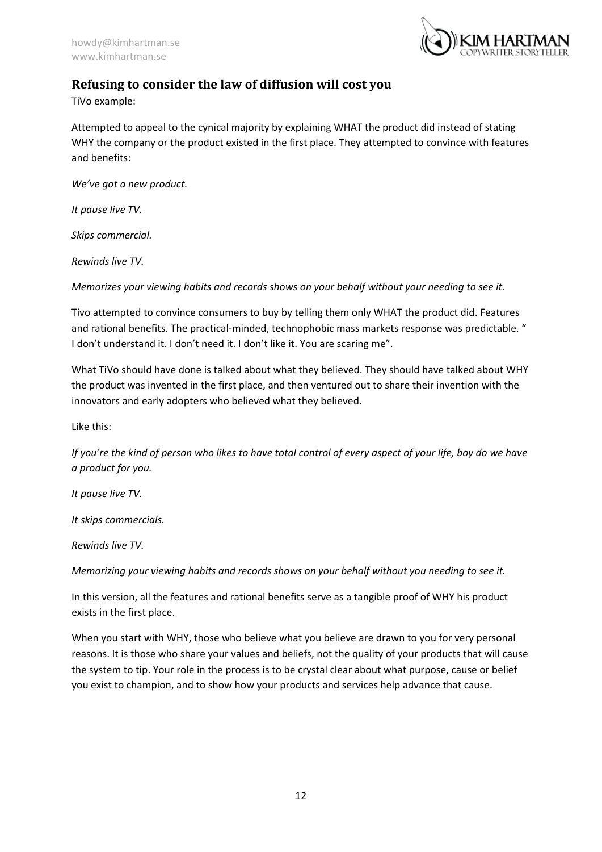

## <span id="page-12-0"></span>**Refusing to consider the law of diffusion will cost you**

TiVo example:

Attempted to appeal to the cynical majority by explaining WHAT the product did instead of stating WHY the company or the product existed in the first place. They attempted to convince with features and benefits:

*We've got a new product.*

*It pause live TV.*

*Skips commercial.*

*Rewinds live TV.*

*Memorizes your viewing habits and records shows on your behalf without your needing to see it.*

Tivo attempted to convince consumers to buy by telling them only WHAT the product did. Features and rational benefits. The practical-minded, technophobic mass markets response was predictable. " I don't understand it. I don't need it. I don't like it. You are scaring me".

What TiVo should have done is talked about what they believed. They should have talked about WHY the product was invented in the first place, and then ventured out to share their invention with the innovators and early adopters who believed what they believed.

Like this:

*If you're the kind of person who likes to have total control of every aspect of your life, boy do we have a product for you.*

*It pause live TV.*

*It skips commercials.*

*Rewinds live TV.*

*Memorizing your viewing habits and records shows on your behalf without you needing to see it.* 

In this version, all the features and rational benefits serve as a tangible proof of WHY his product exists in the first place.

When you start with WHY, those who believe what you believe are drawn to you for very personal reasons. It is those who share your values and beliefs, not the quality of your products that will cause the system to tip. Your role in the process is to be crystal clear about what purpose, cause or belief you exist to champion, and to show how your products and services help advance that cause.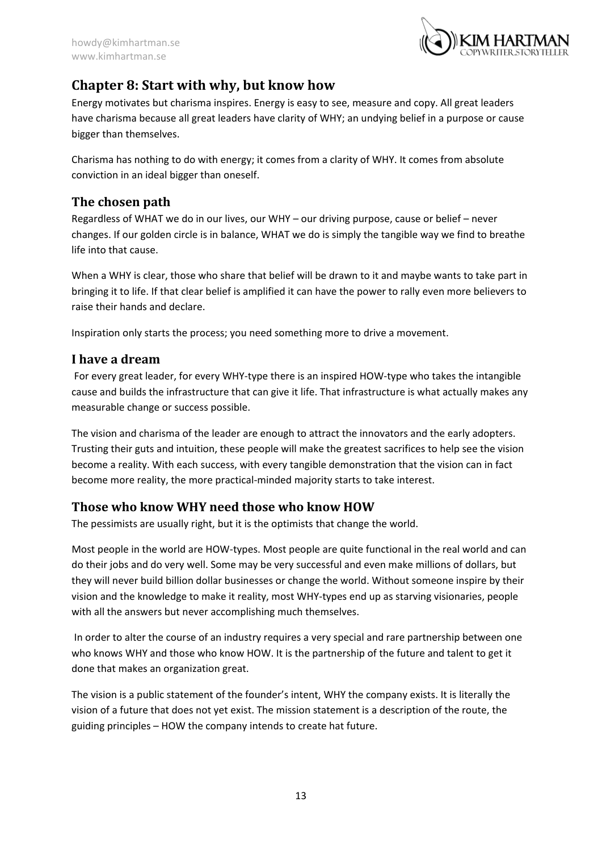

# <span id="page-13-0"></span>**Chapter 8: Start with why, but know how**

Energy motivates but charisma inspires. Energy is easy to see, measure and copy. All great leaders have charisma because all great leaders have clarity of WHY; an undying belief in a purpose or cause bigger than themselves.

Charisma has nothing to do with energy; it comes from a clarity of WHY. It comes from absolute conviction in an ideal bigger than oneself.

## <span id="page-13-1"></span>**The chosen path**

Regardless of WHAT we do in our lives, our WHY – our driving purpose, cause or belief – never changes. If our golden circle is in balance, WHAT we do is simply the tangible way we find to breathe life into that cause.

When a WHY is clear, those who share that belief will be drawn to it and maybe wants to take part in bringing it to life. If that clear belief is amplified it can have the power to rally even more believers to raise their hands and declare.

Inspiration only starts the process; you need something more to drive a movement.

#### <span id="page-13-2"></span>**I have a dream**

For every great leader, for every WHY-type there is an inspired HOW-type who takes the intangible cause and builds the infrastructure that can give it life. That infrastructure is what actually makes any measurable change or success possible.

The vision and charisma of the leader are enough to attract the innovators and the early adopters. Trusting their guts and intuition, these people will make the greatest sacrifices to help see the vision become a reality. With each success, with every tangible demonstration that the vision can in fact become more reality, the more practical-minded majority starts to take interest.

## <span id="page-13-3"></span>**Those who know WHY need those who know HOW**

The pessimists are usually right, but it is the optimists that change the world.

Most people in the world are HOW-types. Most people are quite functional in the real world and can do their jobs and do very well. Some may be very successful and even make millions of dollars, but they will never build billion dollar businesses or change the world. Without someone inspire by their vision and the knowledge to make it reality, most WHY-types end up as starving visionaries, people with all the answers but never accomplishing much themselves.

In order to alter the course of an industry requires a very special and rare partnership between one who knows WHY and those who know HOW. It is the partnership of the future and talent to get it done that makes an organization great.

The vision is a public statement of the founder's intent, WHY the company exists. It is literally the vision of a future that does not yet exist. The mission statement is a description of the route, the guiding principles – HOW the company intends to create hat future.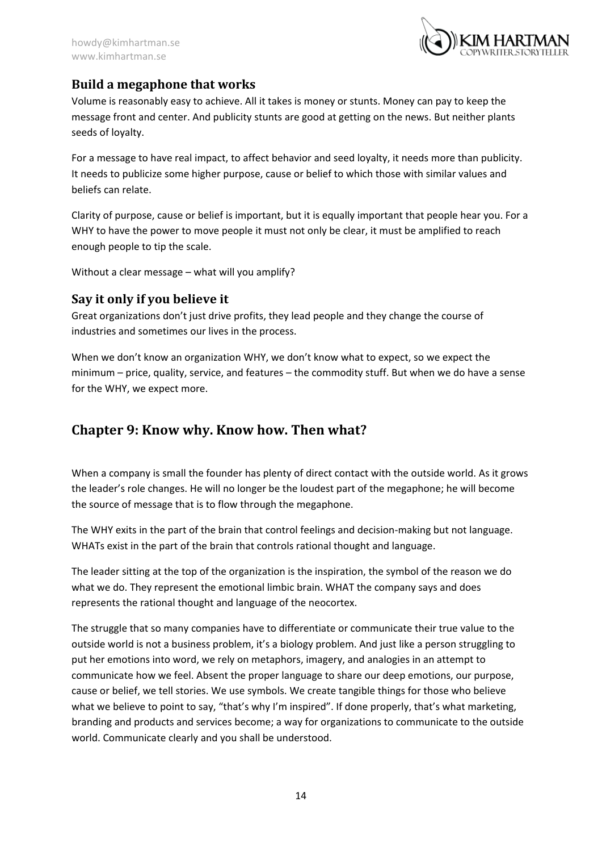

## <span id="page-14-0"></span>**Build a megaphone that works**

Volume is reasonably easy to achieve. All it takes is money or stunts. Money can pay to keep the message front and center. And publicity stunts are good at getting on the news. But neither plants seeds of loyalty.

For a message to have real impact, to affect behavior and seed loyalty, it needs more than publicity. It needs to publicize some higher purpose, cause or belief to which those with similar values and beliefs can relate.

Clarity of purpose, cause or belief is important, but it is equally important that people hear you. For a WHY to have the power to move people it must not only be clear, it must be amplified to reach enough people to tip the scale.

Without a clear message – what will you amplify?

## <span id="page-14-1"></span>**Say it only if you believe it**

Great organizations don't just drive profits, they lead people and they change the course of industries and sometimes our lives in the process.

When we don't know an organization WHY, we don't know what to expect, so we expect the minimum – price, quality, service, and features – the commodity stuff. But when we do have a sense for the WHY, we expect more.

# <span id="page-14-2"></span>**Chapter 9: Know why. Know how. Then what?**

When a company is small the founder has plenty of direct contact with the outside world. As it grows the leader's role changes. He will no longer be the loudest part of the megaphone; he will become the source of message that is to flow through the megaphone.

The WHY exits in the part of the brain that control feelings and decision-making but not language. WHATs exist in the part of the brain that controls rational thought and language.

The leader sitting at the top of the organization is the inspiration, the symbol of the reason we do what we do. They represent the emotional limbic brain. WHAT the company says and does represents the rational thought and language of the neocortex.

The struggle that so many companies have to differentiate or communicate their true value to the outside world is not a business problem, it's a biology problem. And just like a person struggling to put her emotions into word, we rely on metaphors, imagery, and analogies in an attempt to communicate how we feel. Absent the proper language to share our deep emotions, our purpose, cause or belief, we tell stories. We use symbols. We create tangible things for those who believe what we believe to point to say, "that's why I'm inspired". If done properly, that's what marketing, branding and products and services become; a way for organizations to communicate to the outside world. Communicate clearly and you shall be understood.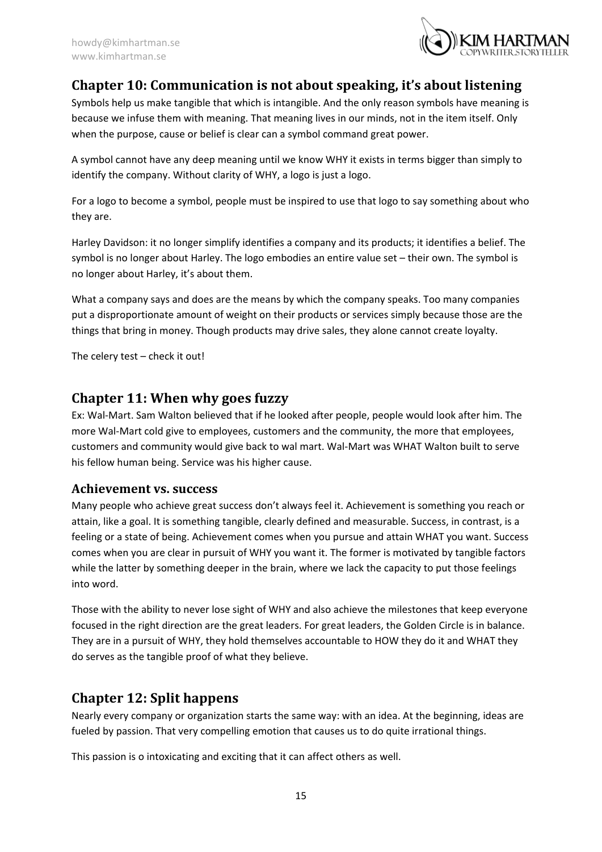

## <span id="page-15-0"></span>**Chapter 10: Communication is not about speaking, it's about listening**

Symbols help us make tangible that which is intangible. And the only reason symbols have meaning is because we infuse them with meaning. That meaning lives in our minds, not in the item itself. Only when the purpose, cause or belief is clear can a symbol command great power.

A symbol cannot have any deep meaning until we know WHY it exists in terms bigger than simply to identify the company. Without clarity of WHY, a logo is just a logo.

For a logo to become a symbol, people must be inspired to use that logo to say something about who they are.

Harley Davidson: it no longer simplify identifies a company and its products; it identifies a belief. The symbol is no longer about Harley. The logo embodies an entire value set – their own. The symbol is no longer about Harley, it's about them.

What a company says and does are the means by which the company speaks. Too many companies put a disproportionate amount of weight on their products or services simply because those are the things that bring in money. Though products may drive sales, they alone cannot create loyalty.

The celery test – check it out!

## <span id="page-15-1"></span>**Chapter 11: When why goes fuzzy**

Ex: Wal-Mart. Sam Walton believed that if he looked after people, people would look after him. The more Wal-Mart cold give to employees, customers and the community, the more that employees, customers and community would give back to wal mart. Wal-Mart was WHAT Walton built to serve his fellow human being. Service was his higher cause.

#### <span id="page-15-2"></span>**Achievement vs. success**

Many people who achieve great success don't always feel it. Achievement is something you reach or attain, like a goal. It is something tangible, clearly defined and measurable. Success, in contrast, is a feeling or a state of being. Achievement comes when you pursue and attain WHAT you want. Success comes when you are clear in pursuit of WHY you want it. The former is motivated by tangible factors while the latter by something deeper in the brain, where we lack the capacity to put those feelings into word.

Those with the ability to never lose sight of WHY and also achieve the milestones that keep everyone focused in the right direction are the great leaders. For great leaders, the Golden Circle is in balance. They are in a pursuit of WHY, they hold themselves accountable to HOW they do it and WHAT they do serves as the tangible proof of what they believe.

## <span id="page-15-3"></span>**Chapter 12: Split happens**

Nearly every company or organization starts the same way: with an idea. At the beginning, ideas are fueled by passion. That very compelling emotion that causes us to do quite irrational things.

This passion is o intoxicating and exciting that it can affect others as well.